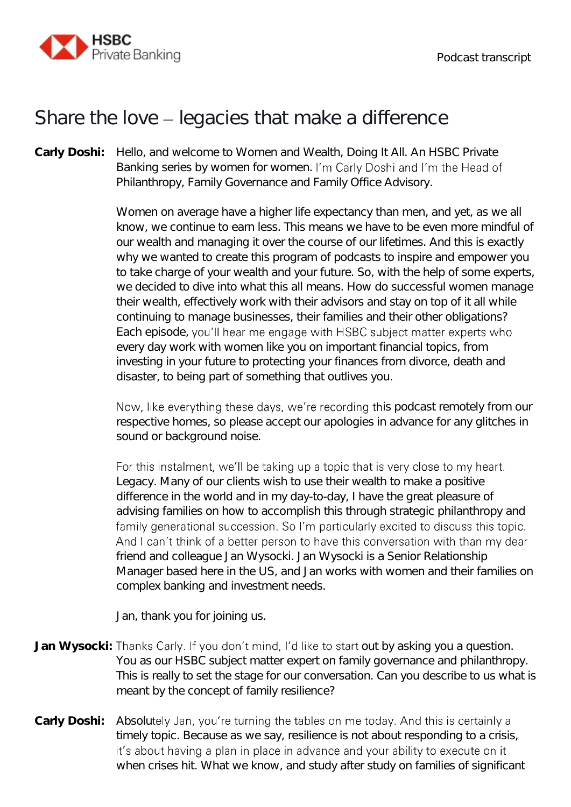

## Share the love  $-$  legacies that make a difference

**Carly Doshi:** Hello, and welcome to Women and Wealth, Doing It All. An HSBC Private Banking series by women for women. I'm Carly Doshi and I'm the Head of Philanthropy, Family Governance and Family Office Advisory.

> Women on average have a higher life expectancy than men, and yet, as we all know, we continue to earn less. This means we have to be even more mindful of our wealth and managing it over the course of our lifetimes. And this is exactly why we wanted to create this program of podcasts to inspire and empower you to take charge of your wealth and your future. So, with the help of some experts, we decided to dive into what this all means. How do successful women manage their wealth, effectively work with their advisors and stay on top of it all while continuing to manage businesses, their families and their other obligations? Each episode, you'll hear me engage with HSBC subject matter experts who every day work with women like you on important financial topics, from investing in your future to protecting your finances from divorce, death and disaster, to being part of something that outlives you.

> Now, like everything these days, we're recording this podcast remotely from our respective homes, so please accept our apologies in advance for any glitches in sound or background noise.

> For this instalment, we'll be taking up a topic that is very close to my heart. Legacy. Many of our clients wish to use their wealth to make a positive difference in the world and in my day-to-day, I have the great pleasure of advising families on how to accomplish this through strategic philanthropy and family generational succession. So I'm particularly excited to discuss this topic. And I can't think of a better person to have this conversation with than my dear friend and colleague Jan Wysocki. Jan Wysocki is a Senior Relationship Manager based here in the US, and Jan works with women and their families on complex banking and investment needs.

Jan, thank you for joining us.

- Jan Wysocki: Thanks Carly. If you don't mind, I'd like to start out by asking you a question. You as our HSBC subject matter expert on family governance and philanthropy. This is really to set the stage for our conversation. Can you describe to us what is meant by the concept of family resilience?
- Carly Doshi: Absolutely Jan, you're turning the tables on me today. And this is certainly a timely topic. Because as we say, resilience is not about responding to a crisis, it's about having a plan in place in advance and your ability to execute on it when crises hit. What we know, and study after study on families of significant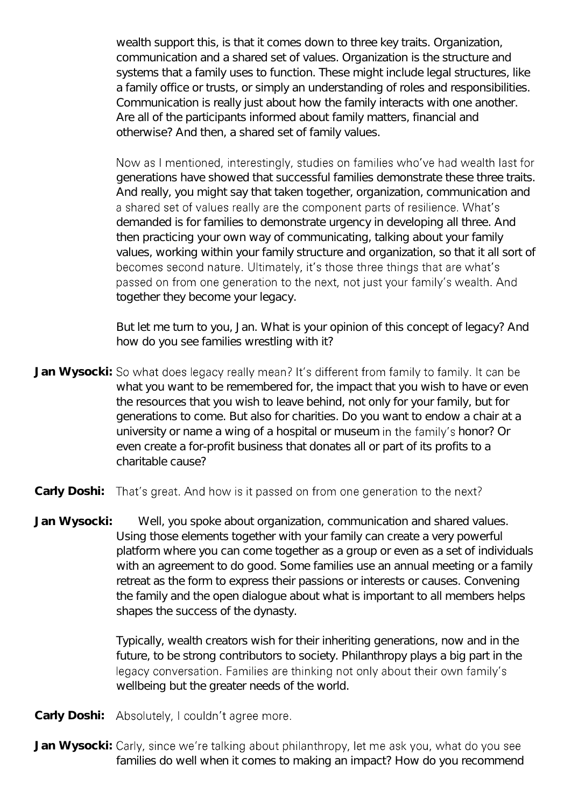wealth support this, is that it comes down to three key traits. Organization, communication and a shared set of values. Organization is the structure and systems that a family uses to function. These might include legal structures, like a family office or trusts, or simply an understanding of roles and responsibilities. Communication is really just about how the family interacts with one another. Are all of the participants informed about family matters, financial and otherwise? And then, a shared set of family values.

Now as I mentioned, interestingly, studies on families who've had wealth last for generations have showed that successful families demonstrate these three traits. And really, you might say that taken together, organization, communication and a shared set of values really are the component parts of resilience. What's demanded is for families to demonstrate urgency in developing all three. And then practicing your own way of communicating, talking about your family values, working within your family structure and organization, so that it all sort of becomes second nature. Ultimately, it's those three things that are what's passed on from one generation to the next, not just your family's wealth. And together they become your legacy.

But let me turn to you, Jan. What is your opinion of this concept of legacy? And how do you see families wrestling with it?

- Jan Wysocki: So what does legacy really mean? It's different from family to family. It can be what you want to be remembered for, the impact that you wish to have or even the resources that you wish to leave behind, not only for your family, but for generations to come. But also for charities. Do you want to endow a chair at a university or name a wing of a hospital or museum in the family's honor? Or even create a for-profit business that donates all or part of its profits to a charitable cause?
- That's great. And how is it passed on from one generation to the next? **Carly Doshi:**
- **Jan Wysocki:** Well, you spoke about organization, communication and shared values. Using those elements together with your family can create a very powerful platform where you can come together as a group or even as a set of individuals with an agreement to do good. Some families use an annual meeting or a family retreat as the form to express their passions or interests or causes. Convening the family and the open dialogue about what is important to all members helps shapes the success of the dynasty.

Typically, wealth creators wish for their inheriting generations, now and in the future, to be strong contributors to society. Philanthropy plays a big part in the legacy conversation. Families are thinking not only about their own family's wellbeing but the greater needs of the world.

Carly Doshi: Absolutely, I couldn't agree more.

Jan Wysocki: Carly, since we're talking about philanthropy, let me ask you, what do you see families do well when it comes to making an impact? How do you recommend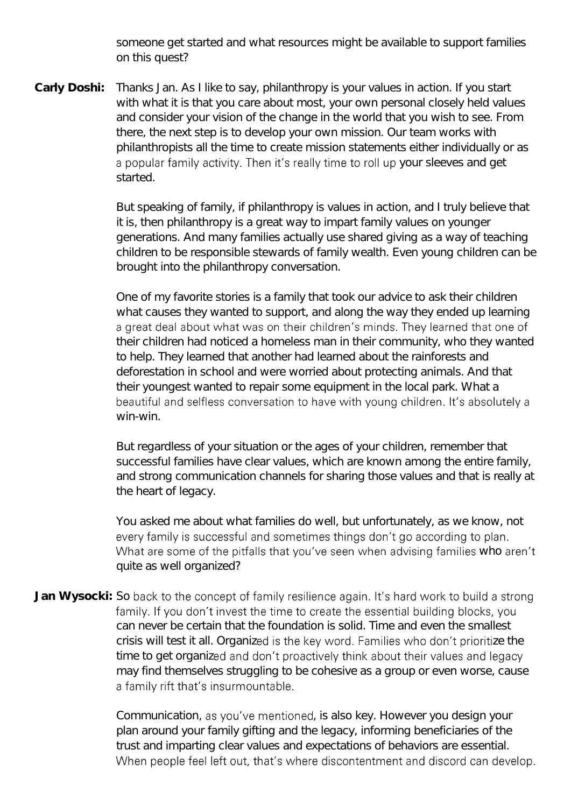someone get started and what resources might be available to support families on this quest?

**Carly Doshi:** Thanks Jan. As I like to say, philanthropy is your values in action. If you start with what it is that you care about most, your own personal closely held values and consider your vision of the change in the world that you wish to see. From there, the next step is to develop your own mission. Our team works with philanthropists all the time to create mission statements either individually or as a popular family activity. Then it's really time to roll up your sleeves and get started.

> But speaking of family, if philanthropy is values in action, and I truly believe that it is, then philanthropy is a great way to impart family values on younger generations. And many families actually use shared giving as a way of teaching children to be responsible stewards of family wealth. Even young children can be brought into the philanthropy conversation.

> One of my favorite stories is a family that took our advice to ask their children what causes they wanted to support, and along the way they ended up learning a great deal about what was on their children's minds. They learned that one of their children had noticed a homeless man in their community, who they wanted to help. They learned that another had learned about the rainforests and deforestation in school and were worried about protecting animals. And that their youngest wanted to repair some equipment in the local park. What a beautiful and selfless conversation to have with young children. It's absolutely a win-win.

> But regardless of your situation or the ages of your children, remember that successful families have clear values, which are known among the entire family, and strong communication channels for sharing those values and that is really at the heart of legacy.

> You asked me about what families do well, but unfortunately, as we know, not every family is successful and sometimes things don't go according to plan. What are some of the pitfalls that you've seen when advising families who aren't quite as well organized?

Jan Wysocki: So back to the concept of family resilience again. It's hard work to build a strong family. If you don't invest the time to create the essential building blocks, you can never be certain that the foundation is solid. Time and even the smallest crisis will test it all. Organized is the key word. Families who don't prioritize the time to get organized and don't proactively think about their values and legacy may find themselves struggling to be cohesive as a group or even worse, cause a family rift that's insurmountable.

> Communication, as you've mentioned, is also key. However you design your plan around your family gifting and the legacy, informing beneficiaries of the trust and imparting clear values and expectations of behaviors are essential. When people feel left out, that's where discontentment and discord can develop.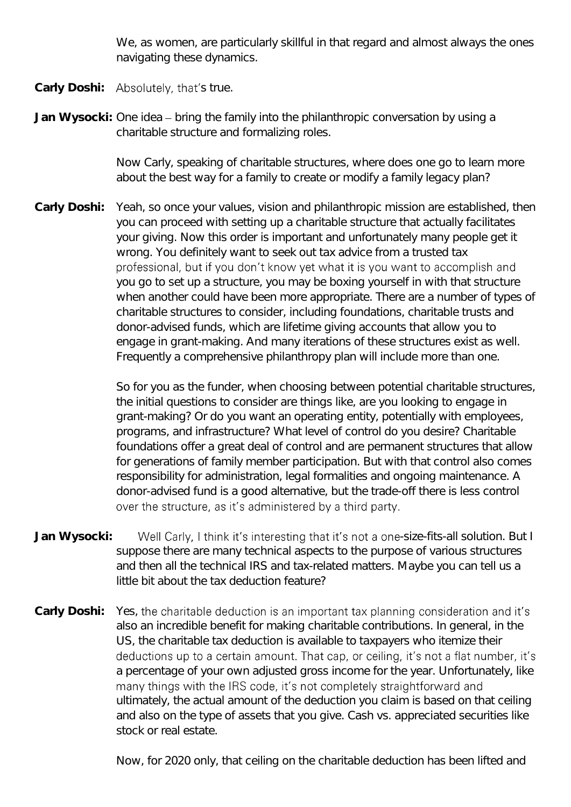We, as women, are particularly skillful in that regard and almost always the ones navigating these dynamics.

- Carly Doshi: Absolutely, that's true.
- Jan Wysocki: One idea bring the family into the philanthropic conversation by using a charitable structure and formalizing roles.

Now Carly, speaking of charitable structures, where does one go to learn more about the best way for a family to create or modify a family legacy plan?

**Carly Doshi:** Yeah, so once your values, vision and philanthropic mission are established, then you can proceed with setting up a charitable structure that actually facilitates your giving. Now this order is important and unfortunately many people get it wrong. You definitely want to seek out tax advice from a trusted tax professional, but if you don't know yet what it is you want to accomplish and you go to set up a structure, you may be boxing yourself in with that structure when another could have been more appropriate. There are a number of types of charitable structures to consider, including foundations, charitable trusts and donor-advised funds, which are lifetime giving accounts that allow you to engage in grant-making. And many iterations of these structures exist as well. Frequently a comprehensive philanthropy plan will include more than one.

> So for you as the funder, when choosing between potential charitable structures, the initial questions to consider are things like, are you looking to engage in grant-making? Or do you want an operating entity, potentially with employees, programs, and infrastructure? What level of control do you desire? Charitable foundations offer a great deal of control and are permanent structures that allow for generations of family member participation. But with that control also comes responsibility for administration, legal formalities and ongoing maintenance. A donor-advised fund is a good alternative, but the trade-off there is less control over the structure, as it's administered by a third party.

- Jan Wysocki: Well Carly, I think it's interesting that it's not a one-size-fits-all solution. But I suppose there are many technical aspects to the purpose of various structures and then all the technical IRS and tax-related matters. Maybe you can tell us a little bit about the tax deduction feature?
- **Carly Doshi:** Yes, also an incredible benefit for making charitable contributions. In general, in the US, the charitable tax deduction is available to taxpayers who itemize their deductions up to a certain amount. That cap, or ceiling, it's not a flat number, it's a percentage of your own adjusted gross income for the year. Unfortunately, like many things with the IRS code, it's not completely straightforward and ultimately, the actual amount of the deduction you claim is based on that ceiling and also on the type of assets that you give. Cash vs. appreciated securities like stock or real estate.

Now, for 2020 only, that ceiling on the charitable deduction has been lifted and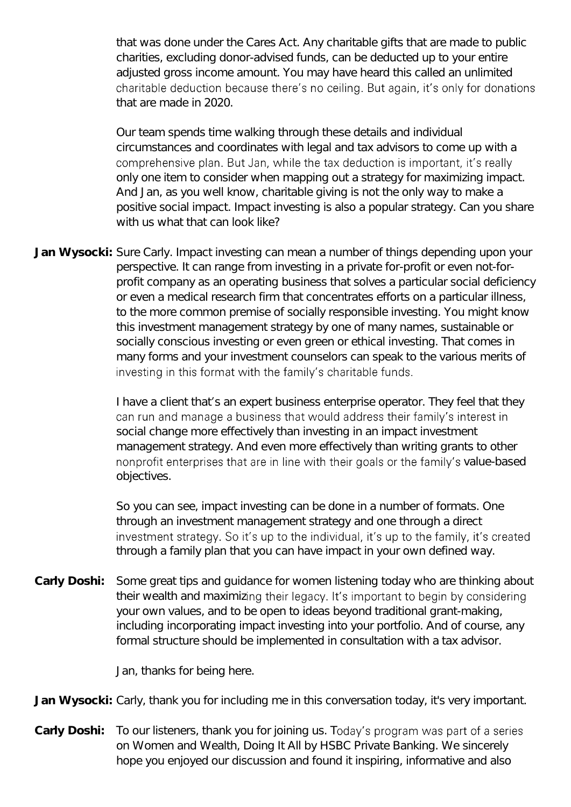that was done under the Cares Act. Any charitable gifts that are made to public charities, excluding donor-advised funds, can be deducted up to your entire adjusted gross income amount. You may have heard this called an unlimited charitable deduction because there's no ceiling. But again, it's only for donations that are made in 2020.

Our team spends time walking through these details and individual circumstances and coordinates with legal and tax advisors to come up with a comprehensive plan. But Jan, while the tax deduction is important, it's really only one item to consider when mapping out a strategy for maximizing impact. And Jan, as you well know, charitable giving is not the only way to make a positive social impact. Impact investing is also a popular strategy. Can you share with us what that can look like?

**Jan Wysocki:** Sure Carly. Impact investing can mean a number of things depending upon your perspective. It can range from investing in a private for-profit or even not-forprofit company as an operating business that solves a particular social deficiency or even a medical research firm that concentrates efforts on a particular illness, to the more common premise of socially responsible investing. You might know this investment management strategy by one of many names, sustainable or socially conscious investing or even green or ethical investing. That comes in many forms and your investment counselors can speak to the various merits of investing in this format with the family's charitable funds.

> I have a client that's an expert business enterprise operator. They feel that they can run and manage a business that would address their family's interest in social change more effectively than investing in an impact investment management strategy. And even more effectively than writing grants to other nonprofit enterprises that are in line with their goals or the family's value-based objectives.

> So you can see, impact investing can be done in a number of formats. One through an investment management strategy and one through a direct investment strategy. So it's up to the individual, it's up to the family, it's created through a family plan that you can have impact in your own defined way.

**Carly Doshi:** Some great tips and guidance for women listening today who are thinking about their wealth and maximizing their legacy. It's important to begin by considering your own values, and to be open to ideas beyond traditional grant-making, including incorporating impact investing into your portfolio. And of course, any formal structure should be implemented in consultation with a tax advisor.

Jan, thanks for being here.

**Jan Wysocki:** Carly, thank you for including me in this conversation today, it's very important.

Carly Doshi: To our listeners, thank you for joining us. Today's program was part of a series on Women and Wealth, Doing It All by HSBC Private Banking. We sincerely hope you enjoyed our discussion and found it inspiring, informative and also